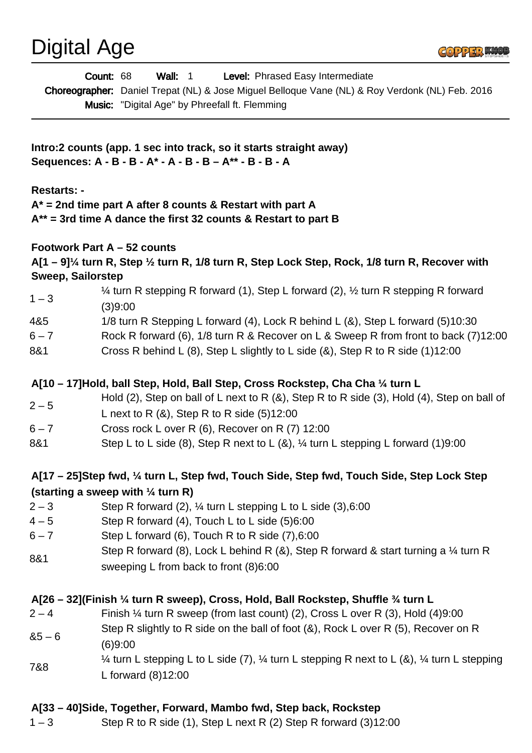# Digital Age



|                                                                                                                                                           | Level: Phrased Easy Intermediate<br>Count: 68<br><b>Wall:</b> 1<br>Choreographer: Daniel Trepat (NL) & Jose Miguel Belloque Vane (NL) & Roy Verdonk (NL) Feb. 2016<br>Music: "Digital Age" by Phreefall ft. Flemming |
|-----------------------------------------------------------------------------------------------------------------------------------------------------------|----------------------------------------------------------------------------------------------------------------------------------------------------------------------------------------------------------------------|
| Intro:2 counts (app. 1 sec into track, so it starts straight away)<br>Sequences: A - B - B - A* - A - B - B - A** - B - B - A                             |                                                                                                                                                                                                                      |
| <b>Restarts: -</b><br>$A^*$ = 2nd time part A after 8 counts & Restart with part A<br>$A^{**}$ = 3rd time A dance the first 32 counts & Restart to part B |                                                                                                                                                                                                                      |
|                                                                                                                                                           | Footwork Part A - 52 counts                                                                                                                                                                                          |
|                                                                                                                                                           | A[1 – 9]¼ turn R, Step 1/2 turn R, 1/8 turn R, Step Lock Step, Rock, 1/8 turn R, Recover with                                                                                                                        |
| <b>Sweep, Sailorstep</b>                                                                                                                                  |                                                                                                                                                                                                                      |
| $1 - 3$                                                                                                                                                   | $\frac{1}{4}$ turn R stepping R forward (1), Step L forward (2), $\frac{1}{2}$ turn R stepping R forward<br>(3)9:00                                                                                                  |
| 4&5                                                                                                                                                       | 1/8 turn R Stepping L forward (4), Lock R behind L (&), Step L forward (5)10:30                                                                                                                                      |
| $6 - 7$                                                                                                                                                   | Rock R forward (6), 1/8 turn R & Recover on L & Sweep R from front to back (7)12:00                                                                                                                                  |
| 8&1                                                                                                                                                       | Cross R behind L (8), Step L slightly to L side (8), Step R to R side (1)12:00                                                                                                                                       |
|                                                                                                                                                           | A[10 – 17]Hold, ball Step, Hold, Ball Step, Cross Rockstep, Cha Cha 1/4 turn L                                                                                                                                       |
| $2 - 5$                                                                                                                                                   | Hold (2), Step on ball of L next to R $(8)$ , Step R to R side (3), Hold (4), Step on ball of                                                                                                                        |
|                                                                                                                                                           | L next to R $(8)$ , Step R to R side $(5)12:00$                                                                                                                                                                      |
| $6 - 7$                                                                                                                                                   | Cross rock L over R (6), Recover on R (7) 12:00                                                                                                                                                                      |
| 8&1                                                                                                                                                       | Step L to L side (8), Step R next to L (8), $\frac{1}{4}$ turn L stepping L forward (1)9:00                                                                                                                          |
|                                                                                                                                                           | A[17 – 25]Step fwd, 1/4 turn L, Step fwd, Touch Side, Step fwd, Touch Side, Step Lock Step                                                                                                                           |
|                                                                                                                                                           | (starting a sweep with $\frac{1}{4}$ turn R)                                                                                                                                                                         |
| $2 - 3$                                                                                                                                                   | Step R forward (2), $\frac{1}{4}$ turn L stepping L to L side (3),6:00                                                                                                                                               |
| $4 - 5$                                                                                                                                                   | Step R forward (4), Touch L to L side (5)6:00                                                                                                                                                                        |
| $6 - 7$                                                                                                                                                   | Step L forward $(6)$ , Touch R to R side $(7)$ , 6:00                                                                                                                                                                |
| 8&1                                                                                                                                                       | Step R forward (8), Lock L behind R (&), Step R forward & start turning a $\frac{1}{4}$ turn R<br>sweeping L from back to front (8)6:00                                                                              |
|                                                                                                                                                           | A[26 – 32](Finish 1/4 turn R sweep), Cross, Hold, Ball Rockstep, Shuffle 3/4 turn L                                                                                                                                  |
| $2 - 4$                                                                                                                                                   | Finish $\frac{1}{4}$ turn R sweep (from last count) (2), Cross L over R (3), Hold (4)9:00                                                                                                                            |
| $85 - 6$                                                                                                                                                  | Step R slightly to R side on the ball of foot (&), Rock L over R (5), Recover on R<br>(6)9:00                                                                                                                        |
| 7&8                                                                                                                                                       | $\frac{1}{4}$ turn L stepping L to L side (7), $\frac{1}{4}$ turn L stepping R next to L (&), $\frac{1}{4}$ turn L stepping<br>L forward (8)12:00                                                                    |
| A[33 – 40] Side, Together, Forward, Mambo fwd, Step back, Rockstep                                                                                        |                                                                                                                                                                                                                      |

1 – 3 Step R to R side (1), Step L next R (2) Step R forward (3)12:00